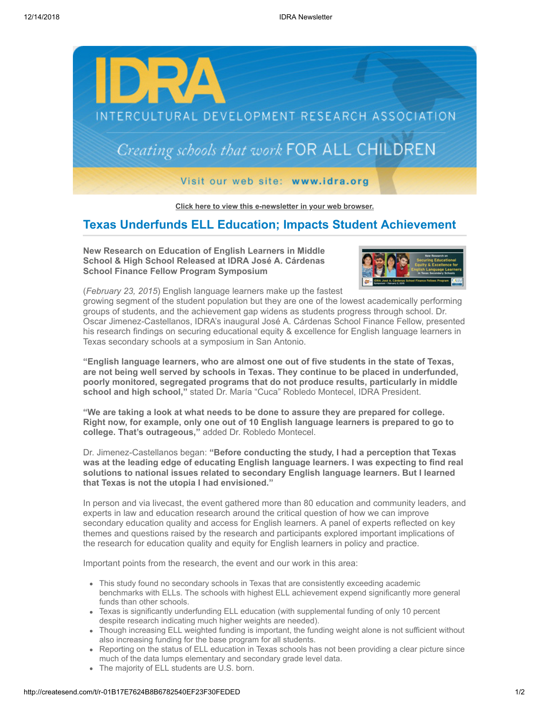

**[Click here to view this e-newsletter in your web browser.](http://newsletter.impulsedevelopment.com/t/r-e-qjukryd-l-r/)**

## **Texas Underfunds ELL Education; Impacts Student Achievement**

**New Research on Education of English Learners in Middle School & High School Released at IDRA José A. Cárdenas School Finance Fellow Program Symposium**



(*February 23, 2015*) English language learners make up the fastest

growing segment of the student population but they are one of the lowest academically performing groups of students, and the achievement gap widens as students progress through school. Dr. Oscar Jimenez-Castellanos, IDRA's inaugural José A. Cárdenas School Finance Fellow, presented his research findings on securing educational equity & excellence for English language learners in Texas secondary schools at a symposium in San Antonio.

**"English language learners, who are almost one out of five students in the state of Texas, are not being well served by schools in Texas. They continue to be placed in underfunded, poorly monitored, segregated programs that do not produce results, particularly in middle school and high school,"** stated Dr. María "Cuca" Robledo Montecel, IDRA President.

**"We are taking a look at what needs to be done to assure they are prepared for college. Right now, for example, only one out of 10 English language learners is prepared to go to college. That's outrageous,"** added Dr. Robledo Montecel.

Dr. Jimenez-Castellanos began: **"Before conducting the study, I had a perception that Texas was at the leading edge of educating English language learners. I was expecting to find real solutions to national issues related to secondary English language learners. But I learned that Texas is not the utopia I had envisioned."**

In person and via livecast, the event gathered more than 80 education and community leaders, and experts in law and education research around the critical question of how we can improve secondary education quality and access for English learners. A panel of experts reflected on key themes and questions raised by the research and participants explored important implications of the research for education quality and equity for English learners in policy and practice.

Important points from the research, the event and our work in this area:

- This study found no secondary schools in Texas that are consistently exceeding academic benchmarks with ELLs. The schools with highest ELL achievement expend significantly more general funds than other schools.
- Texas is significantly underfunding ELL education (with supplemental funding of only 10 percent despite research indicating much higher weights are needed).
- Though increasing ELL weighted funding is important, the funding weight alone is not sufficient without also increasing funding for the base program for all students.
- Reporting on the status of ELL education in Texas schools has not been providing a clear picture since much of the data lumps elementary and secondary grade level data.
- The majority of ELL students are U.S. born.